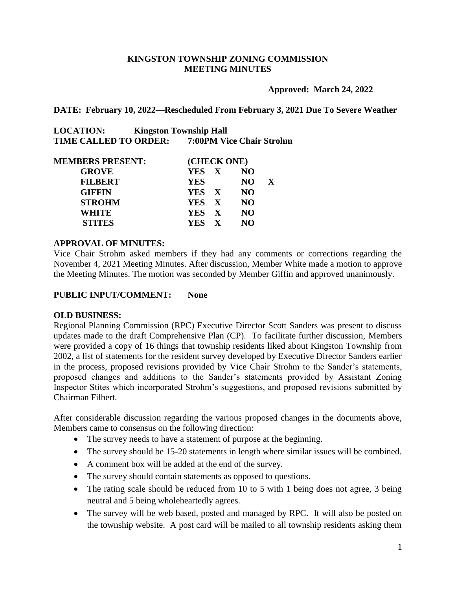## **KINGSTON TOWNSHIP ZONING COMMISSION MEETING MINUTES**

**Approved: March 24, 2022**

**DATE: February 10, 2022—Rescheduled From February 3, 2021 Due To Severe Weather**

**LOCATION: Kingston Township Hall TIME CALLED TO ORDER: 7:00PM Vice Chair Strohm**

| <b>MEMBERS PRESENT:</b> | (CHECK ONE) |                 |              |  |  |
|-------------------------|-------------|-----------------|--------------|--|--|
| <b>GROVE</b>            | YES X       | NO.             |              |  |  |
| <b>FILBERT</b>          | <b>YES</b>  | NO.             | $\mathbf{X}$ |  |  |
| <b>GIFFIN</b>           | YES X       | NO <sub>1</sub> |              |  |  |
| <b>STROHM</b>           | YES X       | NO <sub>1</sub> |              |  |  |
| WHITE                   | YES X       | NO <sub>1</sub> |              |  |  |
| <b>STITES</b>           | YES X       | NO.             |              |  |  |

#### **APPROVAL OF MINUTES:**

Vice Chair Strohm asked members if they had any comments or corrections regarding the November 4, 2021 Meeting Minutes. After discussion, Member White made a motion to approve the Meeting Minutes. The motion was seconded by Member Giffin and approved unanimously.

#### **PUBLIC INPUT/COMMENT: None**

#### **OLD BUSINESS:**

Regional Planning Commission (RPC) Executive Director Scott Sanders was present to discuss updates made to the draft Comprehensive Plan (CP). To facilitate further discussion, Members were provided a copy of 16 things that township residents liked about Kingston Township from 2002, a list of statements for the resident survey developed by Executive Director Sanders earlier in the process, proposed revisions provided by Vice Chair Strohm to the Sander's statements, proposed changes and additions to the Sander's statements provided by Assistant Zoning Inspector Stites which incorporated Strohm's suggestions, and proposed revisions submitted by Chairman Filbert.

After considerable discussion regarding the various proposed changes in the documents above, Members came to consensus on the following direction:

- The survey needs to have a statement of purpose at the beginning.
- The survey should be 15-20 statements in length where similar issues will be combined.
- A comment box will be added at the end of the survey.
- The survey should contain statements as opposed to questions.
- The rating scale should be reduced from 10 to 5 with 1 being does not agree, 3 being neutral and 5 being wholeheartedly agrees.
- The survey will be web based, posted and managed by RPC. It will also be posted on the township website. A post card will be mailed to all township residents asking them